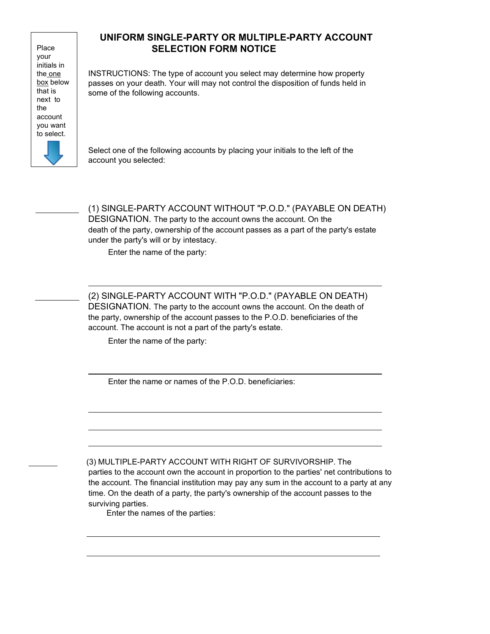Place your initials in the one box below that is next to the account you want to select.

## UNIFORM SINGLE-PARTY OR MULTIPLE-PARTY ACCOUNT SELECTION FORM NOTICE

INSTRUCTIONS: The type of account you select may determine how property passes on your death. Your will may not control the disposition of funds held in some of the following accounts.

Select one of the following accounts by placing your initials to the left of the account you selected:

 (1) SINGLE-PARTY ACCOUNT WITHOUT "P.O.D." (PAYABLE ON DEATH) DESIGNATION. The party to the account owns the account. On the death of the party, ownership of the account passes as a part of the party's estate under the party's will or by intestacy.

Enter the name of the party:

 (2) SINGLE-PARTY ACCOUNT WITH "P.O.D." (PAYABLE ON DEATH) DESIGNATION. The party to the account owns the account. On the death of the party, ownership of the account passes to the P.O.D. beneficiaries of the account. The account is not a part of the party's estate.

Enter the name of the party:

Enter the name or names of the P.O.D. beneficiaries:

 (3) MULTIPLE-PARTY ACCOUNT WITH RIGHT OF SURVIVORSHIP. The parties to the account own the account in proportion to the parties' net contributions to the account. The financial institution may pay any sum in the account to a party at any time. On the death of a party, the party's ownership of the account passes to the surviving parties.

Enter the names of the parties: